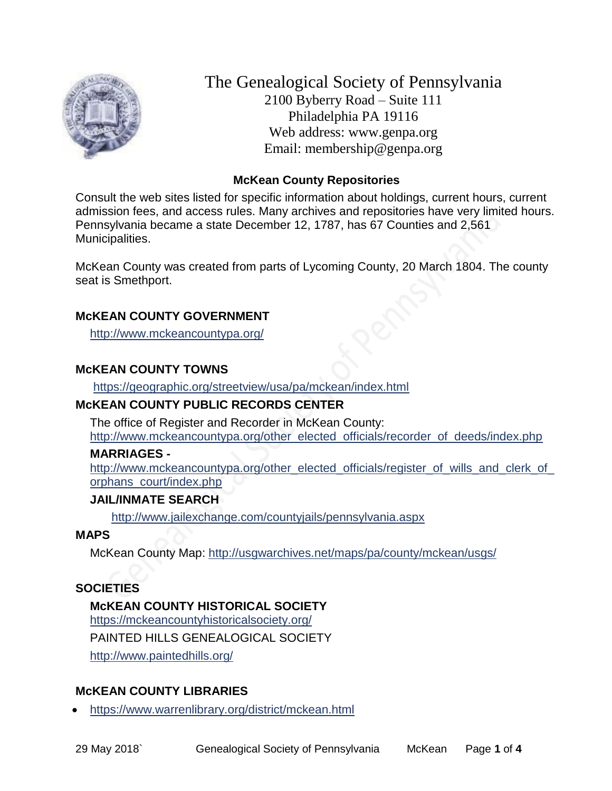

The Genealogical Society of Pennsylvania 2100 Byberry Road – Suite 111 Philadelphia PA 19116 Web address: www.genpa.org Email: membership@genpa.org

## **McKean County Repositories**

Consult the web sites listed for specific information about holdings, current hours, current admission fees, and access rules. Many archives and repositories have very limited hours. Pennsylvania became a state December 12, 1787, has 67 Counties and 2,561 Municipalities.

McKean County was created from parts of Lycoming County, 20 March 1804. The county seat is Smethport.

#### **McKEAN COUNTY GOVERNMENT**

<http://www.mckeancountypa.org/>

#### **McKEAN COUNTY TOWNS**

<https://geographic.org/streetview/usa/pa/mckean/index.html>

# **McKEAN COUNTY PUBLIC RECORDS CENTER**

The office of Register and Recorder in McKean County: [http://www.mckeancountypa.org/other\\_elected\\_officials/recorder\\_of\\_deeds/index.php](http://www.mckeancountypa.org/other_elected_officials/recorder_of_deeds/index.php)

#### **MARRIAGES -**

http://www.mckeancountypa.org/other\_elected\_officials/register\_of\_wills\_and\_clerk\_of [orphans\\_court/index.php](http://www.mckeancountypa.org/other_elected_officials/register_of_wills_and_clerk_of_orphans_court/index.php)

#### **JAIL/INMATE SEARCH**

<http://www.jailexchange.com/countyjails/pennsylvania.aspx>

#### **MAPS**

McKean County Map:<http://usgwarchives.net/maps/pa/county/mckean/usgs/>

# **SOCIETIES**

# **McKEAN COUNTY HISTORICAL SOCIETY**

<https://mckeancountyhistoricalsociety.org/>

PAINTED HILLS GENEALOGICAL SOCIETY

<http://www.paintedhills.org/>

# **McKEAN COUNTY LIBRARIES**

<https://www.warrenlibrary.org/district/mckean.html>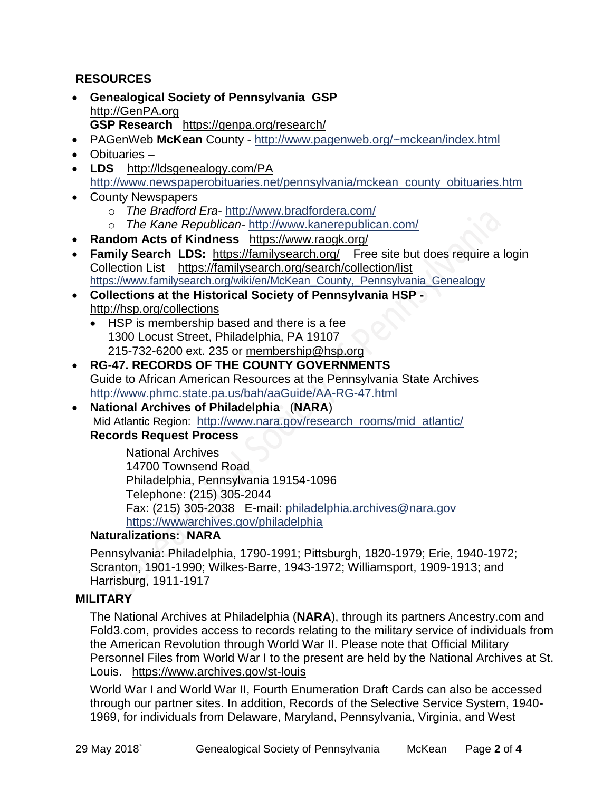# **RESOURCES**

- **Genealogical Society of Pennsylvania GSP** [http://GenPA.org](http://genpa.org/) **GSP Research** <https://genpa.org/research/>
- PAGenWeb **McKean** County <http://www.pagenweb.org/~mckean/index.html>
- Obituaries –
- **LDS** <http://ldsgenealogy.com/PA> [http://www.newspaperobituaries.net/pennsylvania/mckean\\_county\\_obituaries.htm](http://www.newspaperobituaries.net/pennsylvania/mckean_county_obituaries.htm)
- County Newspapers
	- o *The Bradford Era* <http://www.bradfordera.com/>
	- o *The Kane Republican* <http://www.kanerepublican.com/>
- **Random Acts of Kindness** <https://www.raogk.org/>
- **Family Search LDS:** <https://familysearch.org/>Free site but does require a login Collection List <https://familysearch.org/search/collection/list> [https://www.familysearch.org/wiki/en/McKean\\_County,\\_Pennsylvania\\_Genealogy](https://www.familysearch.org/wiki/en/McKean_County,_Pennsylvania_Genealogy)
- **Collections at the Historical Society of Pennsylvania HSP**  <http://hsp.org/collections>
	- HSP is membership based and there is a fee 1300 Locust Street, Philadelphia, PA 19107 215-732-6200 ext. 235 or [membership@hsp.org](mailto:membership@hsp.org)
- **RG-47. RECORDS OF THE COUNTY GOVERNMENTS** Guide to African American Resources at the Pennsylvania State Archives <http://www.phmc.state.pa.us/bah/aaGuide/AA-RG-47.html>
- **National Archives of Philadelphia** (**NARA**) Mid Atlantic Region: [http://www.nara.gov/research\\_rooms/mid\\_atlantic/](http://www.nara.gov/research_rooms/mid_atlantic/)

# **Records Request Process**

National Archives 14700 Townsend Road Philadelphia, Pennsylvania 19154-1096 Telephone: (215) 305-2044 Fax: (215) 305-2038 E-mail: [philadelphia.archives@nara.gov](mailto:philadelphia.archives@nara.gov) <https://wwwarchives.gov/philadelphia>

# **Naturalizations: NARA**

Pennsylvania: Philadelphia, 1790-1991; Pittsburgh, 1820-1979; Erie, 1940-1972; Scranton, 1901-1990; Wilkes-Barre, 1943-1972; Williamsport, 1909-1913; and Harrisburg, 1911-1917

# **MILITARY**

The National Archives at Philadelphia (**NARA**), through its partners Ancestry.com and Fold3.com, provides access to records relating to the military service of individuals from the American Revolution through World War II. Please note that Official Military Personnel Files from World War I to the present are held by the National Archives at St. Louis. <https://www.archives.gov/st-louis>

World War I and World War II, Fourth Enumeration Draft Cards can also be accessed through our partner sites. In addition, Records of the Selective Service System, 1940- 1969, for individuals from Delaware, Maryland, Pennsylvania, Virginia, and West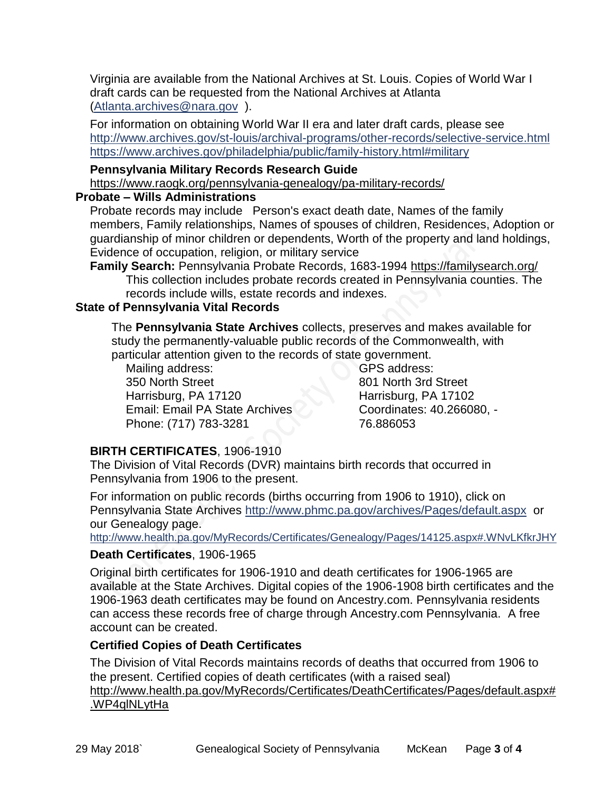Virginia are available from the National Archives at St. Louis. Copies of World War I draft cards can be requested from the National Archives at Atlanta [\(Atlanta.archives@nara.gov](mailto:Atlanta.archives@nara.gov) ).

For information on obtaining World War II era and later draft cards, please see <http://www.archives.gov/st-louis/archival-programs/other-records/selective-service.html> <https://www.archives.gov/philadelphia/public/family-history.html#military>

## **Pennsylvania Military Records Research Guide**

<https://www.raogk.org/pennsylvania-genealogy/pa-military-records/>

#### **Probate – Wills Administrations**

Probate records may include Person's exact death date, Names of the family members, Family relationships, Names of spouses of children, Residences, Adoption or guardianship of minor children or dependents, Worth of the property and land holdings, Evidence of occupation, religion, or military service

**Family Search:** Pennsylvania Probate Records, 1683-1994 <https://familysearch.org/> This collection includes probate records created in Pennsylvania counties. The records include wills, estate records and indexes.

# **State of Pennsylvania Vital Records**

The **Pennsylvania State Archives** collects, preserves and makes available for study the permanently-valuable public records of the Commonwealth, with particular attention given to the records of state government.

Mailing address: 350 North Street Harrisburg, PA 17120 Email: Email PA State Archives Phone: (717) 783-3281

GPS address: 801 North 3rd Street Harrisburg, PA 17102 Coordinates: 40.266080, - 76.886053

# **BIRTH CERTIFICATES**, 1906-1910

The Division of Vital Records (DVR) maintains birth records that occurred in Pennsylvania from 1906 to the present.

For information on public records (births occurring from 1906 to 1910), click on Pennsylvania State Archives <http://www.phmc.pa.gov/archives/Pages/default.aspx>or our Genealogy page.

<http://www.health.pa.gov/MyRecords/Certificates/Genealogy/Pages/14125.aspx#.WNvLKfkrJHY>

# **Death Certificates**, 1906-1965

Original birth certificates for 1906-1910 and death certificates for 1906-1965 are available at the State Archives. Digital copies of the 1906-1908 birth certificates and the 1906-1963 death certificates may be found on Ancestry.com. Pennsylvania residents can access these records free of charge through Ancestry.com Pennsylvania. A free account can be created.

# **Certified Copies of Death Certificates**

The Division of Vital Records maintains records of deaths that occurred from 1906 to the present. Certified copies of death certificates (with a raised seal) http://www.health.pa.gov/MyRecords/Certificates/DeathCertificates/Pages/default.aspx# .WP4qlNLytHa